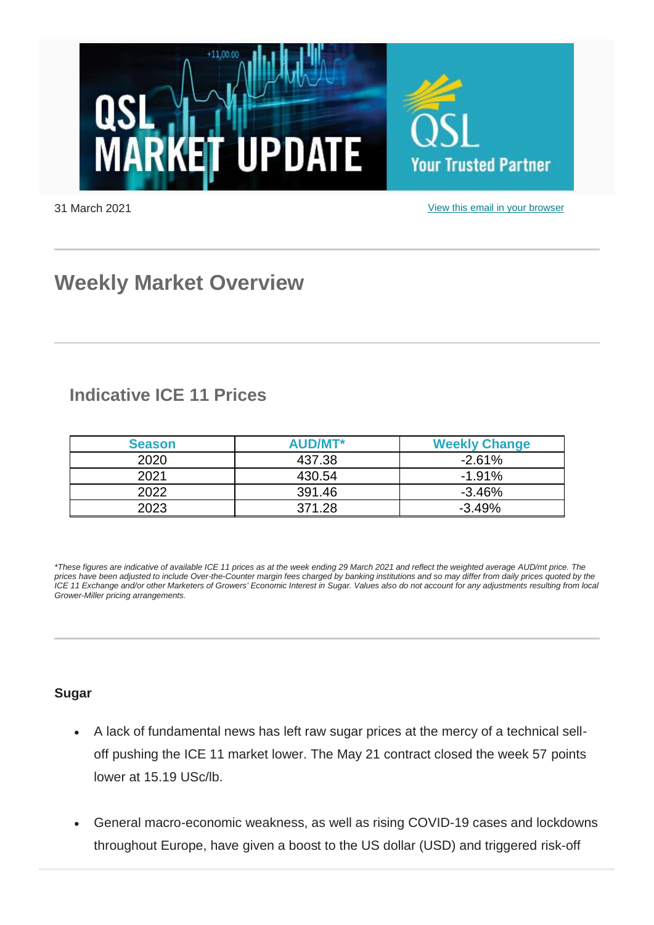

31 March 2021 **[View this email in your browser](https://mailchi.mp/qsl/imvgg65mpt-1344458?e=dc056442e8)** 

# **Weekly Market Overview**

## **Indicative ICE 11 Prices**

| <b>Season</b> | <b>AUD/MT*</b> | <b>Weekly Change</b> |
|---------------|----------------|----------------------|
| 2020          | 437.38         | $-2.61%$             |
| 2021          | 430.54         | $-1.91\%$            |
| 2022          | 391.46         | $-3.46%$             |
| 2023          | 371.28         | $-3.49%$             |

*\*These figures are indicative of available ICE 11 prices as at the week ending 29 March 2021 and reflect the weighted average AUD/mt price. The prices have been adjusted to include Over-the-Counter margin fees charged by banking institutions and so may differ from daily prices quoted by the ICE 11 Exchange and/or other Marketers of Growers' Economic Interest in Sugar. Values also do not account for any adjustments resulting from local Grower-Miller pricing arrangements.*

#### **Sugar**

- A lack of fundamental news has left raw sugar prices at the mercy of a technical selloff pushing the ICE 11 market lower. The May 21 contract closed the week 57 points lower at 15.19 USc/lb.
- General macro-economic weakness, as well as rising COVID-19 cases and lockdowns throughout Europe, have given a boost to the US dollar (USD) and triggered risk-off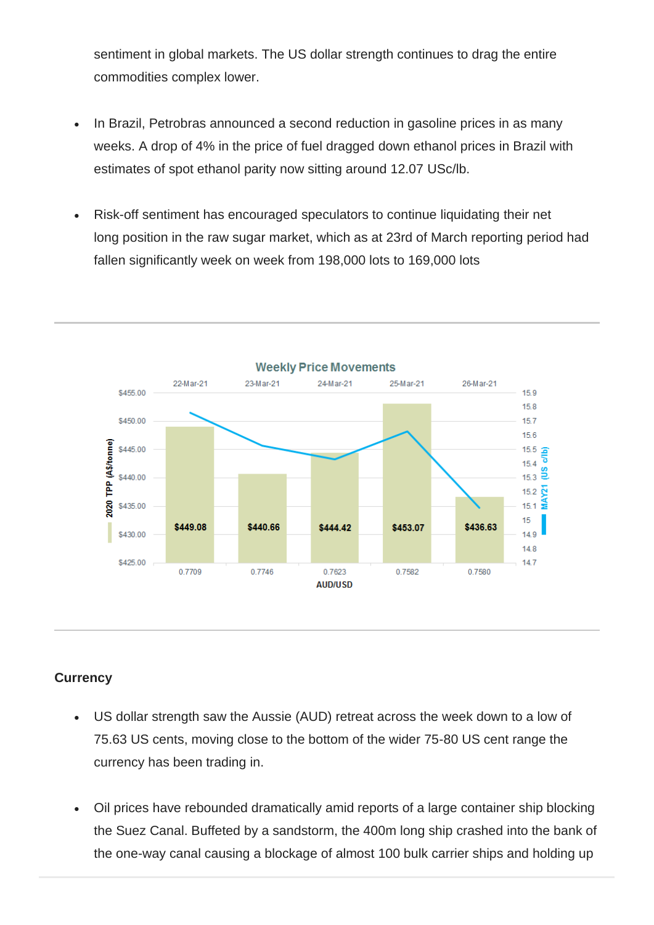sentiment in global markets. The US dollar strength continues to drag the entire commodities complex lower.

- In Brazil, Petrobras announced a second reduction in gasoline prices in as many weeks. A drop of 4% in the price of fuel dragged down ethanol prices in Brazil with estimates of spot ethanol parity now sitting around 12.07 USc/lb.
- Risk-off sentiment has encouraged speculators to continue liquidating their net long position in the raw sugar market, which as at 23rd of March reporting period had fallen significantly week on week from 198,000 lots to 169,000 lots



#### **Currency**

- US dollar strength saw the Aussie (AUD) retreat across the week down to a low of 75.63 US cents, moving close to the bottom of the wider 75-80 US cent range the currency has been trading in.
- Oil prices have rebounded dramatically amid reports of a large container ship blocking the Suez Canal. Buffeted by a sandstorm, the 400m long ship crashed into the bank of the one-way canal causing a blockage of almost 100 bulk carrier ships and holding up